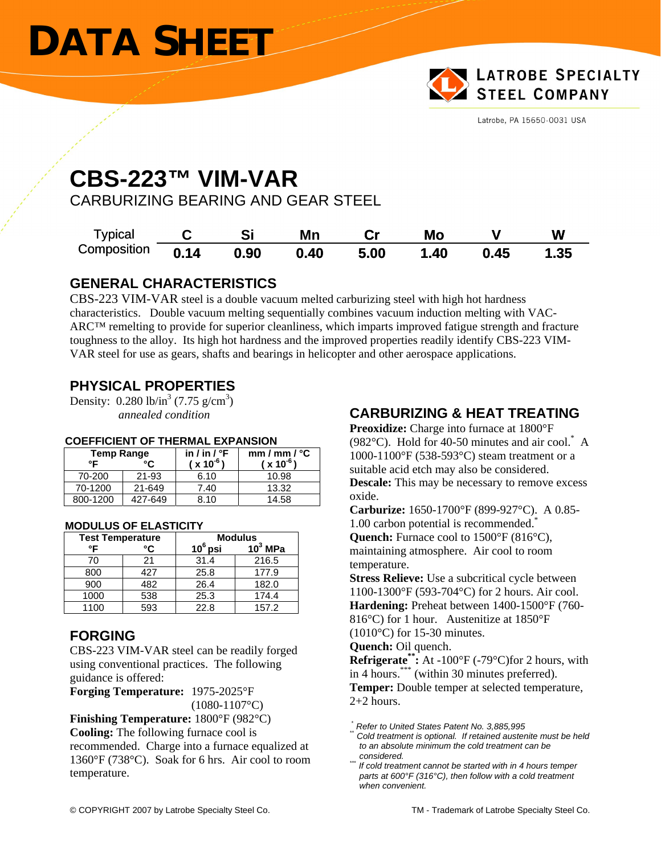# **DATA SHEET**



Latrobe, PA 15650-0031 USA

### **CBS-223™ VIM-VAR**

CARBURIZING BEARING AND GEAR STEEL

| Typical     |      |      | Mn   |      | Mo   |      | W    |
|-------------|------|------|------|------|------|------|------|
| Composition | 0.14 | 0.90 | 0.40 | 5.00 | 1.40 | 0.45 | 1.35 |

#### **GENERAL CHARACTERISTICS**

CBS-223 VIM-VAR steel is a double vacuum melted carburizing steel with high hot hardness characteristics. Double vacuum melting sequentially combines vacuum induction melting with VAC-ARC™ remelting to provide for superior cleanliness, which imparts improved fatigue strength and fracture toughness to the alloy. Its high hot hardness and the improved properties readily identify CBS-223 VIM-VAR steel for use as gears, shafts and bearings in helicopter and other aerospace applications.

### **PHYSICAL PROPERTIES**

Density:  $0.280 \text{ lb/in}^3 (7.75 \text{ g/cm}^3)$ *annealed condition* 

| <b>Temp Range</b> |         | in / in / $\degree$ F | mm/mm / °C    |  |
|-------------------|---------|-----------------------|---------------|--|
| °F                | °۲      | $(x 10^{-6})$         | $(x 10^{-6})$ |  |
| 70-200            | 21-93   | 6.10                  | 10.98         |  |
| 70-1200           | 21-649  | 7.40                  | 13.32         |  |
| 800-1200          | 427-649 | 8.10                  | 14.58         |  |

#### **COEFFICIENT OF THERMAL EXPANSION**

| <b>MODULUS OF ELASTICITY</b> |  |
|------------------------------|--|
|                              |  |

| <b>Test Temperature</b> |     | <b>Modulus</b> |            |  |
|-------------------------|-----|----------------|------------|--|
| ∘⊏                      | °۲  | $10^6$ psi     | $10^3$ MPa |  |
| 70                      | 21  | 31.4           | 216.5      |  |
| 800                     | 427 | 25.8           | 177.9      |  |
| 900                     | 482 | 26.4           | 182.0      |  |
| 1000                    | 538 | 25.3           | 174.4      |  |
| 1100                    | 593 | 22.8           | 157.2      |  |

### **FORGING**

CBS-223 VIM-VAR steel can be readily forged using conventional practices. The following guidance is offered:

**Forging Temperature:** 1975-2025°F  $(1080-1107$ °C)

**Finishing Temperature:** 1800°F (982°C) **Cooling:** The following furnace cool is

recommended. Charge into a furnace equalized at 1360°F (738°C). Soak for 6 hrs. Air cool to room temperature.

#### **CARBURIZING & HEAT TREATING**

**Preoxidize:** Charge into furnace at 1800°F (982°C). Hold for 40-50 minutes and air cool.\* A 1000-1100°F (538-593°C) steam treatment or a suitable acid etch may also be considered. **Descale:** This may be necessary to remove excess oxide.

**Carburize:** 1650-1700°F (899-927°C). A 0.85- 1.00 carbon potential is recommended.\* **Quench:** Furnace cool to 1500°F (816°C),

maintaining atmosphere. Air cool to room temperature.

**Stress Relieve:** Use a subcritical cycle between 1100-1300°F (593-704°C) for 2 hours. Air cool. **Hardening:** Preheat between 1400-1500°F (760- 816°C) for 1 hour. Austenitize at 1850°F (1010°C) for 15-30 minutes.

**Quench:** Oil quench.

**Refrigerate\*\*:** At -100°F (-79°C)for 2 hours, with in 4 hours.\*\*\* (within 30 minutes preferred). **Temper:** Double temper at selected temperature,

2+2 hours.

 *\* Refer to United States Patent No. 3,885,995 \*\* Cold treatment is optional. If retained austenite must be held* 

*to an absolute minimum the cold treatment can be* 

*considered. \*\*\* If cold treatment cannot be started with in 4 hours temper parts at 600°F (316°C), then follow with a cold treatment when convenient.*